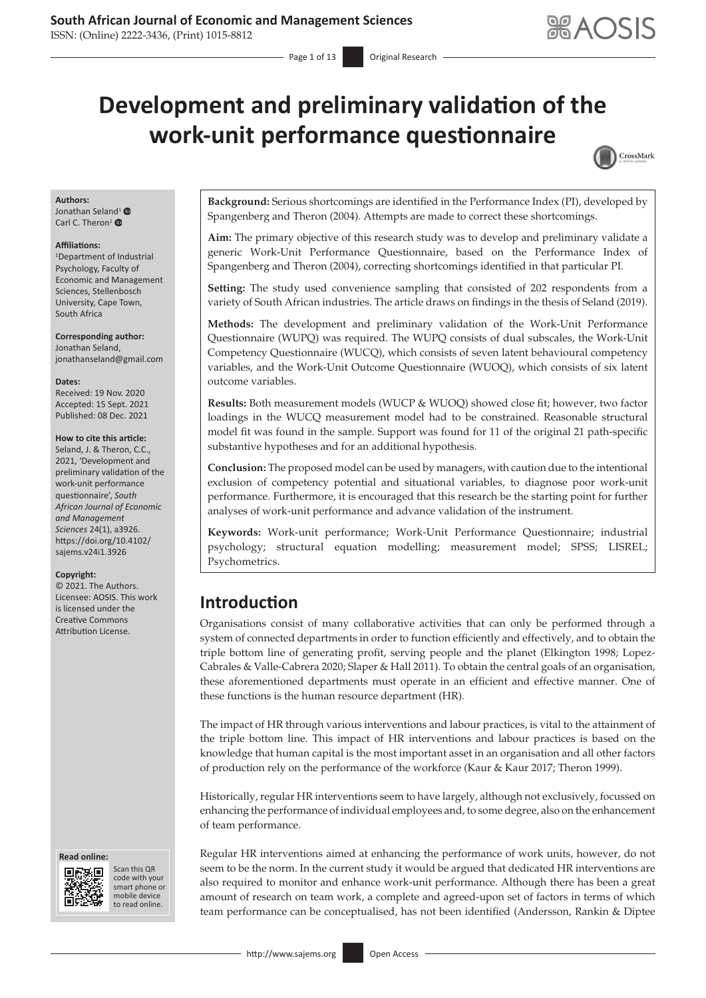ISSN: (Online) 2222-3436, (Print) 1015-8812

# **Development and preliminary validation of the work-unit performance questionnaire**



#### **Authors:**

Jonathan Sela[nd](https://orcid.org/0000-0003-0714-7729)<sup>[1](https://orcid.org/0000-0002-1248-9777)</sup> <sup>O</sup> Carl C. Theron<sup>1</sup> $\bullet$ 

#### **Affiliations:**

1 Department of Industrial Psychology, Faculty of Economic and Management Sciences, Stellenbosch University, Cape Town, South Africa

**Corresponding author:** Jonathan Seland, [jonathanseland@gmail.com](mailto:jonathanseland@gmail.com)

#### **Dates:**

Received: 19 Nov. 2020 Accepted: 15 Sept. 2021 Published: 08 Dec. 2021

#### **How to cite this article:**

Seland, J. & Theron, C.C. 2021, 'Development and preliminary validation of the work-unit performance questionnaire', *South African Journal of Economic and Management Sciences* 24(1), a3926. [https://doi.org/10.4102/](https://doi.org/10.4102/sajems.v24i1.3926) [sajems.v24i1.3926](https://doi.org/10.4102/sajems.v24i1.3926)

#### **Copyright:**

© 2021. The Authors. Licensee: AOSIS. This work is licensed under the Creative Commons Attribution License.

#### **Read online: Read online:**



Scan this QR Scan this QR code with your smart phone or code with your smart phone or mobile device mobile device to read online. to read online.

**Background:** Serious shortcomings are identified in the Performance Index (PI), developed by Spangenberg and Theron (2004). Attempts are made to correct these shortcomings.

**Aim:** The primary objective of this research study was to develop and preliminary validate a generic Work-Unit Performance Questionnaire, based on the Performance Index of Spangenberg and Theron (2004), correcting shortcomings identified in that particular PI.

**Setting:** The study used convenience sampling that consisted of 202 respondents from a variety of South African industries. The article draws on findings in the thesis of Seland (2019).

**Methods:** The development and preliminary validation of the Work-Unit Performance Questionnaire (WUPQ) was required. The WUPQ consists of dual subscales, the Work-Unit Competency Questionnaire (WUCQ), which consists of seven latent behavioural competency variables, and the Work-Unit Outcome Questionnaire (WUOQ), which consists of six latent outcome variables.

**Results:** Both measurement models (WUCP & WUOQ) showed close fit; however, two factor loadings in the WUCQ measurement model had to be constrained. Reasonable structural model fit was found in the sample. Support was found for 11 of the original 21 path-specific substantive hypotheses and for an additional hypothesis.

**Conclusion:** The proposed model can be used by managers, with caution due to the intentional exclusion of competency potential and situational variables, to diagnose poor work-unit performance. Furthermore, it is encouraged that this research be the starting point for further analyses of work-unit performance and advance validation of the instrument.

**Keywords:** Work-unit performance; Work-Unit Performance Questionnaire; industrial psychology; structural equation modelling; measurement model; SPSS; LISREL; Psychometrics.

## **Introduction**

Organisations consist of many collaborative activities that can only be performed through a system of connected departments in order to function efficiently and effectively, and to obtain the triple bottom line of generating profit, serving people and the planet (Elkington 1998; Lopez-Cabrales & Valle-Cabrera 2020; Slaper & Hall 2011). To obtain the central goals of an organisation, these aforementioned departments must operate in an efficient and effective manner. One of these functions is the human resource department (HR).

The impact of HR through various interventions and labour practices, is vital to the attainment of the triple bottom line. This impact of HR interventions and labour practices is based on the knowledge that human capital is the most important asset in an organisation and all other factors of production rely on the performance of the workforce (Kaur & Kaur 2017; Theron 1999).

Historically, regular HR interventions seem to have largely, although not exclusively, focussed on enhancing the performance of individual employees and, to some degree, also on the enhancement of team performance.

Regular HR interventions aimed at enhancing the performance of work units, however, do not seem to be the norm. In the current study it would be argued that dedicated HR interventions are also required to monitor and enhance work-unit performance. Although there has been a great amount of research on team work, a complete and agreed-upon set of factors in terms of which team performance can be conceptualised, has not been identified (Andersson, Rankin & Diptee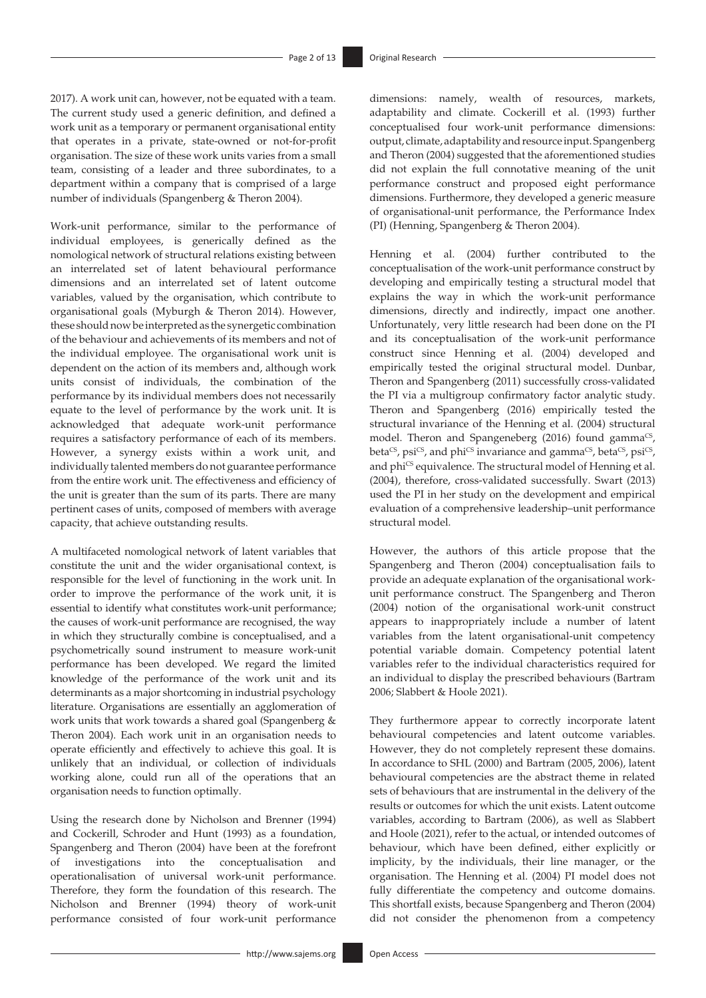2017). A work unit can, however, not be equated with a team. The current study used a generic definition, and defined a work unit as a temporary or permanent organisational entity that operates in a private, state-owned or not-for-profit organisation. The size of these work units varies from a small team, consisting of a leader and three subordinates, to a department within a company that is comprised of a large number of individuals (Spangenberg & Theron 2004).

Work-unit performance, similar to the performance of individual employees, is generically defined as the nomological network of structural relations existing between an interrelated set of latent behavioural performance dimensions and an interrelated set of latent outcome variables, valued by the organisation, which contribute to organisational goals (Myburgh & Theron 2014). However, these should now be interpreted as the synergetic combination of the behaviour and achievements of its members and not of the individual employee. The organisational work unit is dependent on the action of its members and, although work units consist of individuals, the combination of the performance by its individual members does not necessarily equate to the level of performance by the work unit. It is acknowledged that adequate work-unit performance requires a satisfactory performance of each of its members. However, a synergy exists within a work unit, and individually talented members do not guarantee performance from the entire work unit. The effectiveness and efficiency of the unit is greater than the sum of its parts. There are many pertinent cases of units, composed of members with average capacity, that achieve outstanding results.

A multifaceted nomological network of latent variables that constitute the unit and the wider organisational context, is responsible for the level of functioning in the work unit. In order to improve the performance of the work unit, it is essential to identify what constitutes work-unit performance; the causes of work-unit performance are recognised, the way in which they structurally combine is conceptualised, and a psychometrically sound instrument to measure work-unit performance has been developed. We regard the limited knowledge of the performance of the work unit and its determinants as a major shortcoming in industrial psychology literature. Organisations are essentially an agglomeration of work units that work towards a shared goal (Spangenberg & Theron 2004). Each work unit in an organisation needs to operate efficiently and effectively to achieve this goal. It is unlikely that an individual, or collection of individuals working alone, could run all of the operations that an organisation needs to function optimally.

Using the research done by Nicholson and Brenner (1994) and Cockerill, Schroder and Hunt (1993) as a foundation, Spangenberg and Theron (2004) have been at the forefront of investigations into the conceptualisation and operationalisation of universal work-unit performance. Therefore, they form the foundation of this research. The Nicholson and Brenner (1994) theory of work-unit performance consisted of four work-unit performance dimensions: namely, wealth of resources, markets, adaptability and climate. Cockerill et al. (1993) further conceptualised four work-unit performance dimensions: output, climate, adaptability and resource input. Spangenberg and Theron (2004) suggested that the aforementioned studies did not explain the full connotative meaning of the unit performance construct and proposed eight performance dimensions. Furthermore, they developed a generic measure of organisational-unit performance, the Performance Index (PI) (Henning, Spangenberg & Theron 2004).

Henning et al. (2004) further contributed to the conceptualisation of the work-unit performance construct by developing and empirically testing a structural model that explains the way in which the work-unit performance dimensions, directly and indirectly, impact one another. Unfortunately, very little research had been done on the PI and its conceptualisation of the work-unit performance construct since Henning et al. (2004) developed and empirically tested the original structural model. Dunbar, Theron and Spangenberg (2011) successfully cross-validated the PI via a multigroup confirmatory factor analytic study. Theron and Spangenberg (2016) empirically tested the structural invariance of the Henning et al. (2004) structural model. Theron and Spangeneberg  $(2016)$  found gamma<sup>CS</sup>, beta<sup>CS</sup>, psi<sup>CS</sup>, and phi<sup>CS</sup> invariance and gamma<sup>CS</sup>, beta<sup>CS</sup>, psi<sup>CS</sup>, and phi<sup>CS</sup> equivalence. The structural model of Henning et al. (2004), therefore, cross-validated successfully. Swart (2013) used the PI in her study on the development and empirical evaluation of a comprehensive leadership–unit performance structural model.

However, the authors of this article propose that the Spangenberg and Theron (2004) conceptualisation fails to provide an adequate explanation of the organisational workunit performance construct. The Spangenberg and Theron (2004) notion of the organisational work-unit construct appears to inappropriately include a number of latent variables from the latent organisational-unit competency potential variable domain. Competency potential latent variables refer to the individual characteristics required for an individual to display the prescribed behaviours (Bartram 2006; Slabbert & Hoole 2021).

They furthermore appear to correctly incorporate latent behavioural competencies and latent outcome variables. However, they do not completely represent these domains. In accordance to SHL (2000) and Bartram (2005, 2006), latent behavioural competencies are the abstract theme in related sets of behaviours that are instrumental in the delivery of the results or outcomes for which the unit exists. Latent outcome variables, according to Bartram (2006), as well as Slabbert and Hoole (2021), refer to the actual, or intended outcomes of behaviour, which have been defined, either explicitly or implicity, by the individuals, their line manager, or the organisation. The Henning et al. (2004) PI model does not fully differentiate the competency and outcome domains. This shortfall exists, because Spangenberg and Theron (2004) did not consider the phenomenon from a competency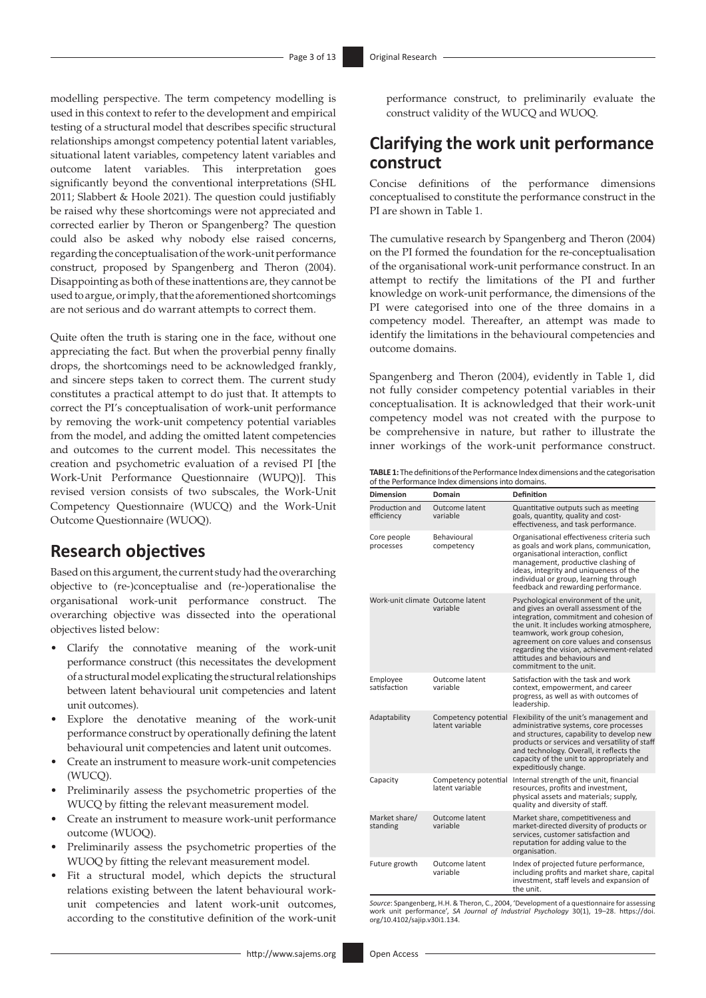modelling perspective. The term competency modelling is used in this context to refer to the development and empirical testing of a structural model that describes specific structural relationships amongst competency potential latent variables, situational latent variables, competency latent variables and outcome latent variables. This interpretation goes significantly beyond the conventional interpretations (SHL 2011; Slabbert & Hoole 2021). The question could justifiably be raised why these shortcomings were not appreciated and corrected earlier by Theron or Spangenberg? The question could also be asked why nobody else raised concerns, regarding the conceptualisation of the work-unit performance construct, proposed by Spangenberg and Theron (2004). Disappointing as both of these inattentions are, they cannot be used to argue, or imply, that the aforementioned shortcomings are not serious and do warrant attempts to correct them.

Quite often the truth is staring one in the face, without one appreciating the fact. But when the proverbial penny finally drops, the shortcomings need to be acknowledged frankly, and sincere steps taken to correct them. The current study constitutes a practical attempt to do just that. It attempts to correct the PI's conceptualisation of work-unit performance by removing the work-unit competency potential variables from the model, and adding the omitted latent competencies and outcomes to the current model. This necessitates the creation and psychometric evaluation of a revised PI [the Work-Unit Performance Questionnaire (WUPQ)]. This revised version consists of two subscales, the Work-Unit Competency Questionnaire (WUCQ) and the Work-Unit Outcome Questionnaire (WUOQ).

## **Research objectives**

Based on this argument, the current study had the overarching objective to (re-)conceptualise and (re-)operationalise the organisational work-unit performance construct. The overarching objective was dissected into the operational objectives listed below:

- Clarify the connotative meaning of the work-unit performance construct (this necessitates the development of a structural model explicating the structural relationships between latent behavioural unit competencies and latent unit outcomes).
- Explore the denotative meaning of the work-unit performance construct by operationally defining the latent behavioural unit competencies and latent unit outcomes.
- Create an instrument to measure work-unit competencies (WUCQ).
- Preliminarily assess the psychometric properties of the WUCQ by fitting the relevant measurement model.
- Create an instrument to measure work-unit performance outcome (WUOQ).
- Preliminarily assess the psychometric properties of the WUOQ by fitting the relevant measurement model.
- Fit a structural model, which depicts the structural relations existing between the latent behavioural workunit competencies and latent work-unit outcomes, according to the constitutive definition of the work-unit

performance construct, to preliminarily evaluate the construct validity of the WUCQ and WUOQ.

## **Clarifying the work unit performance construct**

Concise definitions of the performance dimensions conceptualised to constitute the performance construct in the PI are shown in Table 1.

The cumulative research by Spangenberg and Theron (2004) on the PI formed the foundation for the re-conceptualisation of the organisational work-unit performance construct. In an attempt to rectify the limitations of the PI and further knowledge on work-unit performance, the dimensions of the PI were categorised into one of the three domains in a competency model. Thereafter, an attempt was made to identify the limitations in the behavioural competencies and outcome domains.

Spangenberg and Theron (2004), evidently in Table 1, did not fully consider competency potential variables in their conceptualisation. It is acknowledged that their work-unit competency model was not created with the purpose to be comprehensive in nature, but rather to illustrate the inner workings of the work-unit performance construct.

**TABLE 1:** The definitions of the Performance Index dimensions and the categorisation of the Performance Index dimensions into domains.

| Dimension                        | Domain                                  | <b>Definition</b>                                                                                                                                                                                                                                                                                                                                            |
|----------------------------------|-----------------------------------------|--------------------------------------------------------------------------------------------------------------------------------------------------------------------------------------------------------------------------------------------------------------------------------------------------------------------------------------------------------------|
| Production and<br>efficiency     | Outcome latent<br>variable              | Quantitative outputs such as meeting<br>goals, quantity, quality and cost-<br>effectiveness, and task performance.                                                                                                                                                                                                                                           |
| Core people<br>processes         | Behavioural<br>competency               | Organisational effectiveness criteria such<br>as goals and work plans, communication,<br>organisational interaction, conflict<br>management, productive clashing of<br>ideas, integrity and uniqueness of the<br>individual or group, learning through<br>feedback and rewarding performance.                                                                |
| Work-unit climate Outcome latent | variable                                | Psychological environment of the unit,<br>and gives an overall assessment of the<br>integration, commitment and cohesion of<br>the unit. It includes working atmosphere,<br>teamwork, work group cohesion,<br>agreement on core values and consensus<br>regarding the vision, achievement-related<br>attitudes and behaviours and<br>commitment to the unit. |
| Employee<br>satisfaction         | Outcome latent<br>variable              | Satisfaction with the task and work<br>context, empowerment, and career<br>progress, as well as with outcomes of<br>leadership.                                                                                                                                                                                                                              |
| Adaptability                     | Competency potential<br>latent variable | Flexibility of the unit's management and<br>administrative systems, core processes<br>and structures, capability to develop new<br>products or services and versatility of staff<br>and technology. Overall, it reflects the<br>capacity of the unit to appropriately and<br>expeditiously change.                                                           |
| Capacity                         | Competency potential<br>latent variable | Internal strength of the unit, financial<br>resources, profits and investment,<br>physical assets and materials; supply,<br>quality and diversity of staff.                                                                                                                                                                                                  |
| Market share/<br>standing        | Outcome latent<br>variable              | Market share, competitiveness and<br>market-directed diversity of products or<br>services, customer satisfaction and<br>reputation for adding value to the<br>organisation.                                                                                                                                                                                  |
| Future growth                    | Outcome latent<br>variable              | Index of projected future performance,<br>including profits and market share, capital<br>investment, staff levels and expansion of<br>the unit.                                                                                                                                                                                                              |

*Source*: Spangenberg, H.H. & Theron, C., 2004, 'Development of a questionnaire for assessing work unit performance', *SA Journal of Industrial Psychology* 30(1), 19–28. [https://doi.](https://doi.org/10.4102/sajip.v30i1.134) [org/10.4102/sajip.v30i1.134](https://doi.org/10.4102/sajip.v30i1.134).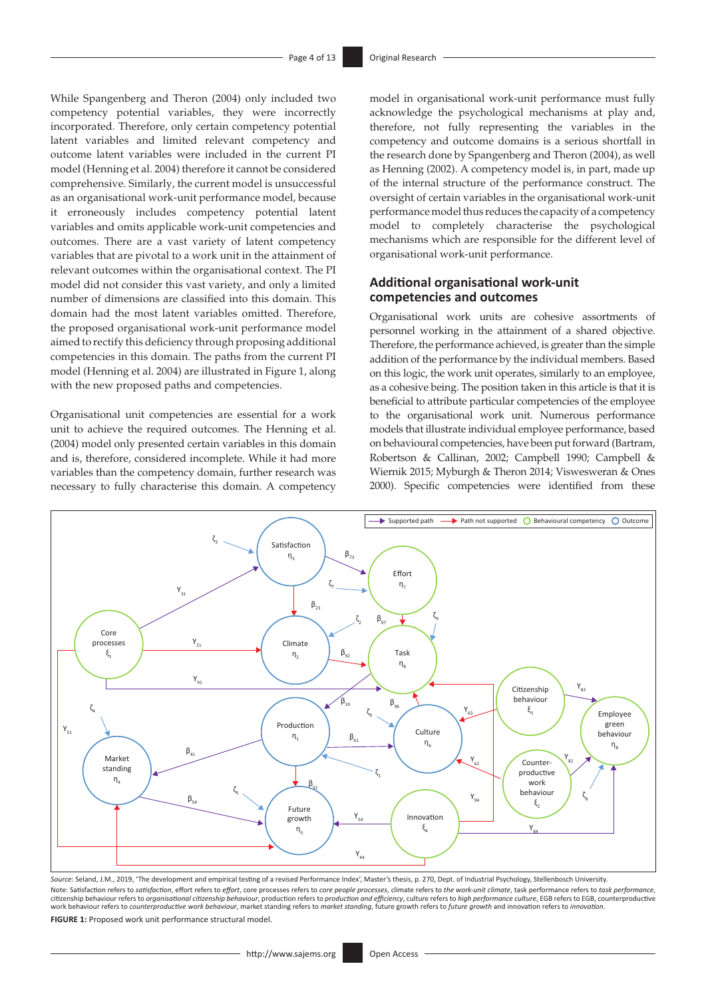While Spangenberg and Theron (2004) only included two competency potential variables, they were incorrectly incorporated. Therefore, only certain competency potential latent variables and limited relevant competency and outcome latent variables were included in the current PI model (Henning et al. 2004) therefore it cannot be considered comprehensive. Similarly, the current model is unsuccessful as an organisational work-unit performance model, because it erroneously includes competency potential latent variables and omits applicable work-unit competencies and outcomes. There are a vast variety of latent competency variables that are pivotal to a work unit in the attainment of relevant outcomes within the organisational context. The PI model did not consider this vast variety, and only a limited number of dimensions are classified into this domain. This domain had the most latent variables omitted. Therefore, the proposed organisational work-unit performance model aimed to rectify this deficiency through proposing additional competencies in this domain. The paths from the current PI model (Henning et al. 2004) are illustrated in Figure 1, along with the new proposed paths and competencies.

Organisational unit competencies are essential for a work unit to achieve the required outcomes. The Henning et al. (2004) model only presented certain variables in this domain and is, therefore, considered incomplete. While it had more variables than the competency domain, further research was necessary to fully characterise this domain. A competency

model in organisational work-unit performance must fully acknowledge the psychological mechanisms at play and, therefore, not fully representing the variables in the competency and outcome domains is a serious shortfall in the research done by Spangenberg and Theron (2004), as well as Henning (2002). A competency model is, in part, made up of the internal structure of the performance construct. The oversight of certain variables in the organisational work-unit performance model thus reduces the capacity of a competency model to completely characterise the psychological mechanisms which are responsible for the different level of organisational work-unit performance.

## **Additional organisational work-unit competencies and outcomes**

Organisational work units are cohesive assortments of personnel working in the attainment of a shared objective. Therefore, the performance achieved, is greater than the simple addition of the performance by the individual members. Based on this logic, the work unit operates, similarly to an employee, as a cohesive being. The position taken in this article is that it is beneficial to attribute particular competencies of the employee to the organisational work unit. Numerous performance models that illustrate individual employee performance, based on behavioural competencies, have been put forward (Bartram, Robertson & Callinan, 2002; Campbell 1990; Campbell & Wiernik 2015; Myburgh & Theron 2014; Viswesweran & Ones 2000). Specific competencies were identified from these



Source: Seland, J.M., 2019, 'The development and empirical testing of a revised Performance Index', Master's thesis, p. 270, Dept. of Industrial Psychology, Stellenbosch University Note: Satisfaction refers to satisfaction, effort refers to effort, core processes refers to *core people processes,* climate refers to the work-unit climate, task performance refers to task performance, refers to task per work behaviour refers to *counterproductive work behaviour*, market standing refers to *market standing*, future growth refers to *future growth* and innovation refers to *innovation*.

**FIGURE 1:** Proposed work unit performance structural model.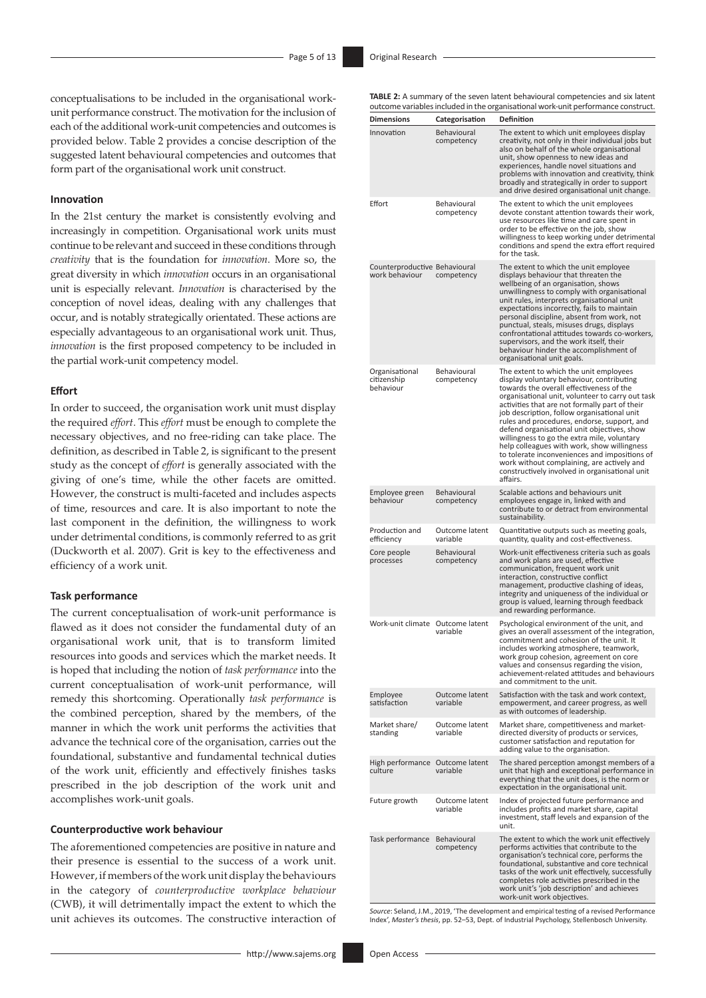conceptualisations to be included in the organisational workunit performance construct. The motivation for the inclusion of each of the additional work-unit competencies and outcomes is provided below. Table 2 provides a concise description of the suggested latent behavioural competencies and outcomes that form part of the organisational work unit construct.

## **Innovation**

In the 21st century the market is consistently evolving and increasingly in competition. Organisational work units must continue to be relevant and succeed in these conditions through *creativity* that is the foundation for *innovation*. More so, the great diversity in which *innovation* occurs in an organisational unit is especially relevant. *Innovation* is characterised by the conception of novel ideas, dealing with any challenges that occur, and is notably strategically orientated. These actions are especially advantageous to an organisational work unit. Thus, *innovation* is the first proposed competency to be included in the partial work-unit competency model.

#### **Effort**

In order to succeed, the organisation work unit must display the required *effort*. This *effort* must be enough to complete the necessary objectives, and no free-riding can take place. The definition, as described in Table 2, is significant to the present study as the concept of *effort* is generally associated with the giving of one's time, while the other facets are omitted. However, the construct is multi-faceted and includes aspects of time, resources and care. It is also important to note the last component in the definition, the willingness to work under detrimental conditions, is commonly referred to as grit (Duckworth et al. 2007). Grit is key to the effectiveness and efficiency of a work unit.

#### **Task performance**

The current conceptualisation of work-unit performance is flawed as it does not consider the fundamental duty of an organisational work unit, that is to transform limited resources into goods and services which the market needs. It is hoped that including the notion of *task performance* into the current conceptualisation of work-unit performance, will remedy this shortcoming. Operationally *task performance* is the combined perception, shared by the members, of the manner in which the work unit performs the activities that advance the technical core of the organisation, carries out the foundational, substantive and fundamental technical duties of the work unit, efficiently and effectively finishes tasks prescribed in the job description of the work unit and accomplishes work-unit goals.

#### **Counterproductive work behaviour**

The aforementioned competencies are positive in nature and their presence is essential to the success of a work unit. However, if members of the work unit display the behaviours in the category of *counterproductive workplace behaviour* (CWB), it will detrimentally impact the extent to which the unit achieves its outcomes. The constructive interaction of **TABLE 2:** A summary of the seven latent behavioural competencies and six latent outcome variables included in the organisational work-unit performance construct.

|                                                 |                                  | battome variables included in the organisational work and performance construct.                                                                                                                                                                                                                                                                                                                                                                                                                                                                                                                                                              |
|-------------------------------------------------|----------------------------------|-----------------------------------------------------------------------------------------------------------------------------------------------------------------------------------------------------------------------------------------------------------------------------------------------------------------------------------------------------------------------------------------------------------------------------------------------------------------------------------------------------------------------------------------------------------------------------------------------------------------------------------------------|
| <b>Dimensions</b>                               | Categorisation                   | Definition                                                                                                                                                                                                                                                                                                                                                                                                                                                                                                                                                                                                                                    |
| Innovation                                      | Behavioural<br>competency        | The extent to which unit employees display<br>creativity, not only in their individual jobs but<br>also on behalf of the whole organisational<br>unit, show openness to new ideas and<br>experiences, handle novel situations and<br>problems with innovation and creativity, think<br>broadly and strategically in order to support<br>and drive desired organisational unit change.                                                                                                                                                                                                                                                         |
| Effort                                          | Behavioural<br>competency        | The extent to which the unit employees<br>devote constant attention towards their work,<br>use resources like time and care spent in<br>order to be effective on the job, show<br>willingness to keep working under detrimental<br>conditions and spend the extra effort required<br>for the task.                                                                                                                                                                                                                                                                                                                                            |
| Counterproductive Behavioural<br>work behaviour | competency                       | The extent to which the unit employee<br>displays behaviour that threaten the<br>wellbeing of an organisation, shows<br>unwillingness to comply with organisational<br>unit rules, interprets organisational unit<br>expectations incorrectly, fails to maintain<br>personal discipline, absent from work, not<br>punctual, steals, misuses drugs, displays<br>confrontational attitudes towards co-workers,<br>supervisors, and the work itself, their<br>behaviour hinder the accomplishment of<br>organisational unit goals.                                                                                                               |
| Organisational<br>citizenship<br>behaviour      | Behavioural<br>competency        | The extent to which the unit employees<br>display voluntary behaviour, contributing<br>towards the overall effectiveness of the<br>organisational unit, volunteer to carry out task<br>activities that are not formally part of their<br>job description, follow organisational unit<br>rules and procedures, endorse, support, and<br>defend organisational unit objectives, show<br>willingness to go the extra mile, voluntary<br>help colleagues with work, show willingness<br>to tolerate inconveniences and impositions of<br>work without complaining, are actively and<br>constructively involved in organisational unit<br>affairs. |
| Employee green<br>behaviour                     | <b>Behavioural</b><br>competency | Scalable actions and behaviours unit<br>employees engage in, linked with and<br>contribute to or detract from environmental<br>sustainability.                                                                                                                                                                                                                                                                                                                                                                                                                                                                                                |
| Production and<br>efficiency                    | Outcome latent<br>variable       | Quantitative outputs such as meeting goals,<br>quantity, quality and cost-effectiveness.                                                                                                                                                                                                                                                                                                                                                                                                                                                                                                                                                      |
| Core people<br>processes                        | Behavioural<br>competency        | Work-unit effectiveness criteria such as goals<br>and work plans are used, effective<br>communication, frequent work unit<br>interaction, constructive conflict<br>management, productive clashing of ideas,<br>integrity and uniqueness of the individual or<br>group is valued, learning through feedback<br>and rewarding performance.                                                                                                                                                                                                                                                                                                     |
| Work-unit climate Outcome latent                | variable                         | Psychological environment of the unit, and<br>gives an overall assessment of the integration,<br>commitment and cohesion of the unit. It<br>includes working atmosphere, teamwork,<br>work group cohesion, agreement on core<br>values and consensus regarding the vision.<br>achievement-related attitudes and behaviours<br>and commitment to the unit.                                                                                                                                                                                                                                                                                     |
| Employee<br>satisfaction                        | Outcome latent<br>variable       | Satisfaction with the task and work context,<br>empowerment, and career progress, as well<br>as with outcomes of leadership.                                                                                                                                                                                                                                                                                                                                                                                                                                                                                                                  |
| Market share/<br>standing                       | Outcome latent<br>variable       | Market share, competitiveness and market-<br>directed diversity of products or services,<br>customer satisfaction and reputation for<br>adding value to the organisation.                                                                                                                                                                                                                                                                                                                                                                                                                                                                     |
| High performance Outcome latent<br>culture      | variable                         | The shared perception amongst members of a<br>unit that high and exceptional performance in<br>everything that the unit does, is the norm or<br>expectation in the organisational unit.                                                                                                                                                                                                                                                                                                                                                                                                                                                       |
| Future growth                                   | Outcome latent<br>variable       | Index of projected future performance and<br>includes profits and market share, capital<br>investment, staff levels and expansion of the<br>unit.                                                                                                                                                                                                                                                                                                                                                                                                                                                                                             |
| Task performance                                | Behavioural<br>competency        | The extent to which the work unit effectively<br>performs activities that contribute to the<br>organisation's technical core, performs the<br>foundational, substantive and core technical<br>tasks of the work unit effectively, successfully<br>completes role activities prescribed in the<br>work unit's 'job description' and achieves<br>work-unit work objectives.                                                                                                                                                                                                                                                                     |

*Source*: Seland, J.M., 2019, 'The development and empirical testing of a revised Performance Index', *Master's thesis*, pp. 52–53, Dept. of Industrial Psychology, Stellenbosch University.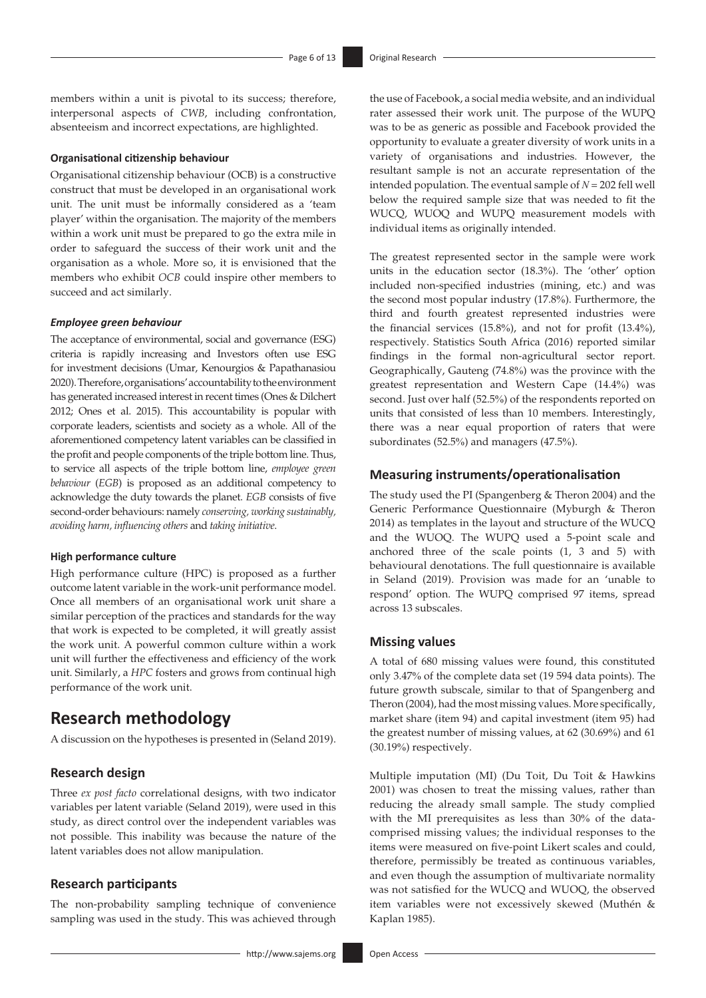members within a unit is pivotal to its success; therefore, interpersonal aspects of *CWB*, including confrontation, absenteeism and incorrect expectations, are highlighted.

#### **Organisational citizenship behaviour**

Organisational citizenship behaviour (OCB) is a constructive construct that must be developed in an organisational work unit. The unit must be informally considered as a 'team player' within the organisation. The majority of the members within a work unit must be prepared to go the extra mile in order to safeguard the success of their work unit and the organisation as a whole. More so, it is envisioned that the members who exhibit *OCB* could inspire other members to succeed and act similarly.

#### *Employee green behaviour*

The acceptance of environmental, social and governance (ESG) criteria is rapidly increasing and Investors often use ESG for investment decisions (Umar, Kenourgios & Papathanasiou 2020). Therefore, organisations' accountability to the environment has generated increased interest in recent times (Ones & Dilchert 2012; Ones et al. 2015). This accountability is popular with corporate leaders, scientists and society as a whole. All of the aforementioned competency latent variables can be classified in the profit and people components of the triple bottom line. Thus, to service all aspects of the triple bottom line, *employee green behaviour* (*EGB*) is proposed as an additional competency to acknowledge the duty towards the planet. *EGB* consists of five second-order behaviours: namely *conserving, working sustainably, avoiding harm, influencing others* and *taking initiative*.

#### **High performance culture**

High performance culture (HPC) is proposed as a further outcome latent variable in the work-unit performance model. Once all members of an organisational work unit share a similar perception of the practices and standards for the way that work is expected to be completed, it will greatly assist the work unit. A powerful common culture within a work unit will further the effectiveness and efficiency of the work unit. Similarly, a *HPC* fosters and grows from continual high performance of the work unit.

## **Research methodology**

A discussion on the hypotheses is presented in (Seland 2019).

## **Research design**

Three *ex post facto* correlational designs, with two indicator variables per latent variable (Seland 2019), were used in this study, as direct control over the independent variables was not possible. This inability was because the nature of the latent variables does not allow manipulation.

## **Research participants**

The non-probability sampling technique of convenience sampling was used in the study. This was achieved through

the use of Facebook, a social media website, and an individual rater assessed their work unit. The purpose of the WUPQ was to be as generic as possible and Facebook provided the opportunity to evaluate a greater diversity of work units in a variety of organisations and industries. However, the resultant sample is not an accurate representation of the intended population. The eventual sample of *N* = 202 fell well below the required sample size that was needed to fit the WUCQ, WUOQ and WUPQ measurement models with individual items as originally intended.

The greatest represented sector in the sample were work units in the education sector (18.3%). The 'other' option included non-specified industries (mining, etc.) and was the second most popular industry (17.8%). Furthermore, the third and fourth greatest represented industries were the financial services (15.8%), and not for profit (13.4%), respectively. Statistics South Africa (2016) reported similar findings in the formal non-agricultural sector report. Geographically, Gauteng (74.8%) was the province with the greatest representation and Western Cape (14.4%) was second. Just over half (52.5%) of the respondents reported on units that consisted of less than 10 members. Interestingly, there was a near equal proportion of raters that were subordinates (52.5%) and managers (47.5%).

### **Measuring instruments/operationalisation**

The study used the PI (Spangenberg & Theron 2004) and the Generic Performance Questionnaire (Myburgh & Theron 2014) as templates in the layout and structure of the WUCQ and the WUOQ. The WUPQ used a 5-point scale and anchored three of the scale points (1, 3 and 5) with behavioural denotations. The full questionnaire is available in Seland (2019). Provision was made for an 'unable to respond' option. The WUPQ comprised 97 items, spread across 13 subscales.

## **Missing values**

A total of 680 missing values were found, this constituted only 3.47% of the complete data set (19 594 data points). The future growth subscale, similar to that of Spangenberg and Theron (2004), had the most missing values. More specifically, market share (item 94) and capital investment (item 95) had the greatest number of missing values, at 62 (30.69%) and 61 (30.19%) respectively.

Multiple imputation (MI) (Du Toit, Du Toit & Hawkins 2001) was chosen to treat the missing values, rather than reducing the already small sample. The study complied with the MI prerequisites as less than 30% of the datacomprised missing values; the individual responses to the items were measured on five-point Likert scales and could, therefore, permissibly be treated as continuous variables, and even though the assumption of multivariate normality was not satisfied for the WUCQ and WUOQ, the observed item variables were not excessively skewed (Muthén & Kaplan 1985).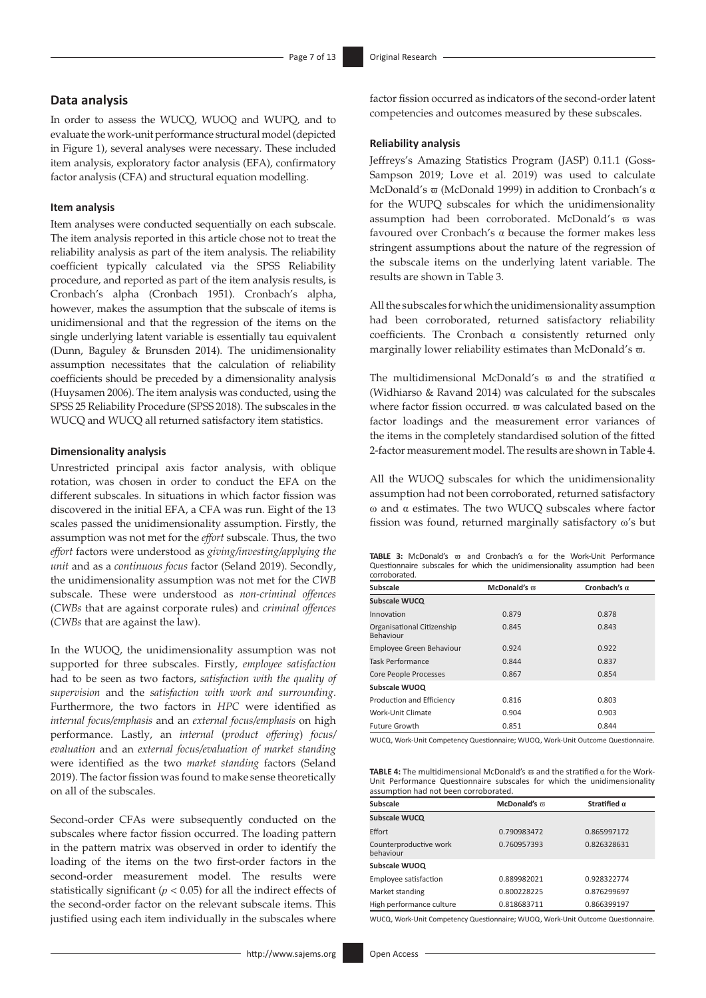## **Data analysis**

In order to assess the WUCQ, WUOQ and WUPQ, and to evaluate the work-unit performance structural model (depicted in Figure 1), several analyses were necessary. These included item analysis, exploratory factor analysis (EFA), confirmatory factor analysis (CFA) and structural equation modelling.

#### **Item analysis**

Item analyses were conducted sequentially on each subscale. The item analysis reported in this article chose not to treat the reliability analysis as part of the item analysis. The reliability coefficient typically calculated via the SPSS Reliability procedure, and reported as part of the item analysis results, is Cronbach's alpha (Cronbach 1951). Cronbach's alpha, however, makes the assumption that the subscale of items is unidimensional and that the regression of the items on the single underlying latent variable is essentially tau equivalent (Dunn, Baguley & Brunsden 2014). The unidimensionality assumption necessitates that the calculation of reliability coefficients should be preceded by a dimensionality analysis (Huysamen 2006). The item analysis was conducted, using the SPSS 25 Reliability Procedure (SPSS 2018). The subscales in the WUCQ and WUCQ all returned satisfactory item statistics.

#### **Dimensionality analysis**

Unrestricted principal axis factor analysis, with oblique rotation, was chosen in order to conduct the EFA on the different subscales. In situations in which factor fission was discovered in the initial EFA, a CFA was run. Eight of the 13 scales passed the unidimensionality assumption. Firstly, the assumption was not met for the *effort* subscale. Thus, the two *effort* factors were understood as *giving/investing/applying the unit* and as a *continuous focus* factor (Seland 2019). Secondly, the unidimensionality assumption was not met for the *CWB* subscale. These were understood as *non-criminal offences*  (*CWBs* that are against corporate rules) and *criminal offences*  (*CWBs* that are against the law).

In the WUOQ, the unidimensionality assumption was not supported for three subscales. Firstly, *employee satisfaction*  had to be seen as two factors, *satisfaction with the quality of supervision* and the *satisfaction with work and surrounding*. Furthermore, the two factors in *HPC* were identified as *internal focus/emphasis* and an *external focus/emphasis* on high performance. Lastly, an *internal* (*product offering*) *focus/ evaluation* and an *external focus/evaluation of market standing* were identified as the two *market standing* factors (Seland 2019). The factor fission was found to make sense theoretically on all of the subscales.

Second-order CFAs were subsequently conducted on the subscales where factor fission occurred. The loading pattern in the pattern matrix was observed in order to identify the loading of the items on the two first-order factors in the second-order measurement model. The results were statistically significant ( $p < 0.05$ ) for all the indirect effects of the second-order factor on the relevant subscale items. This justified using each item individually in the subscales where

factor fission occurred as indicators of the second-order latent competencies and outcomes measured by these subscales.

### **Reliability analysis**

Jeffreys's Amazing Statistics Program (JASP) 0.11.1 (Goss-Sampson 2019; Love et al. 2019) was used to calculate McDonald's ϖ (McDonald 1999) in addition to Cronbach's α for the WUPQ subscales for which the unidimensionality assumption had been corroborated. McDonald's  $\varpi$  was favoured over Cronbach's α because the former makes less stringent assumptions about the nature of the regression of the subscale items on the underlying latent variable. The results are shown in Table 3.

All the subscales for which the unidimensionality assumption had been corroborated, returned satisfactory reliability coefficients. The Cronbach α consistently returned only marginally lower reliability estimates than McDonald's  $\varpi$ .

The multidimensional McDonald's  $\overline{\omega}$  and the stratified  $\alpha$ (Widhiarso & Ravand 2014) was calculated for the subscales where factor fission occurred, π was calculated based on the factor loadings and the measurement error variances of the items in the completely standardised solution of the fitted 2-factor measurement model. The results are shown in Table 4.

All the WUOQ subscales for which the unidimensionality assumption had not been corroborated, returned satisfactory w and α estimates. The two WUCQ subscales where factor fission was found, returned marginally satisfactory  $\omega$ 's but

|               |  | <b>TABLE 3:</b> McDonald's $\overline{\omega}$ and Cronbach's $\alpha$ for the Work-Unit Performance |  |  |  |  |  |  |  |  |
|---------------|--|------------------------------------------------------------------------------------------------------|--|--|--|--|--|--|--|--|
|               |  | Questionnaire subscales for which the unidimensionality assumption had been                          |  |  |  |  |  |  |  |  |
| corroborated. |  |                                                                                                      |  |  |  |  |  |  |  |  |

| Subscale                                | McDonald's $\varpi$ | Cronbach's $\alpha$ |  |  |  |
|-----------------------------------------|---------------------|---------------------|--|--|--|
| Subscale WUCQ                           |                     |                     |  |  |  |
| Innovation                              | 0.879               | 0.878               |  |  |  |
| Organisational Citizenship<br>Behaviour | 0.845               | 0.843               |  |  |  |
| <b>Employee Green Behaviour</b>         | 0.924               | 0.922               |  |  |  |
| <b>Task Performance</b>                 | 0.844               | 0.837               |  |  |  |
| <b>Core People Processes</b>            | 0.867               | 0.854               |  |  |  |
| Subscale WUOQ                           |                     |                     |  |  |  |
| Production and Efficiency               | 0.816               | 0.803               |  |  |  |
| Work-Unit Climate                       | 0.904               | 0.903               |  |  |  |
| Future Growth                           | 0.851               | 0.844               |  |  |  |

WUCQ, Work-Unit Competency Questionnaire; WUOQ, Work-Unit Outcome Questionnaire.

**TABLE 4:** The multidimensional McDonald's ϖ and the stratified α for the Work-Unit Performance Questionnaire subscales for which the unidimensionality assumption had not been corroborated.

| Subscale                            | McDonald's $\pi$ | Stratified $\alpha$ |  |  |
|-------------------------------------|------------------|---------------------|--|--|
| Subscale WUCQ                       |                  |                     |  |  |
| Effort                              | 0.790983472      | 0.865997172         |  |  |
| Counterproductive work<br>behaviour | 0.760957393      | 0.826328631         |  |  |
| Subscale WUOQ                       |                  |                     |  |  |
| Employee satisfaction               | 0.889982021      | 0.928322774         |  |  |
| Market standing                     | 0.800228225      | 0.876299697         |  |  |
| High performance culture            | 0.818683711      | 0.866399197         |  |  |

WUCQ, Work-Unit Competency Questionnaire; WUOQ, Work-Unit Outcome Questionnaire.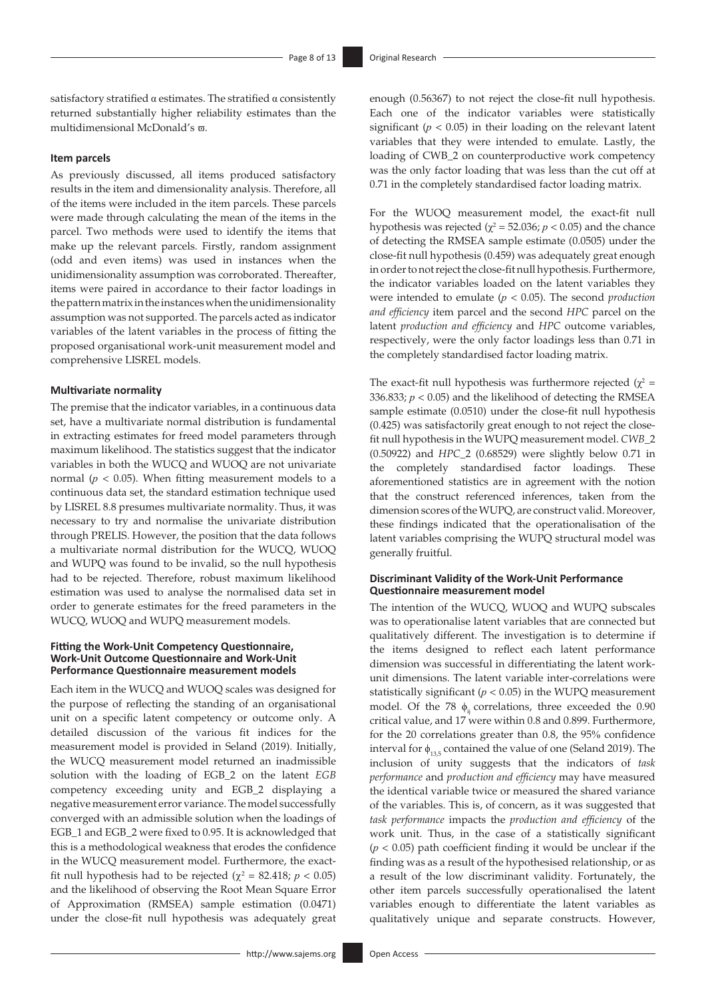satisfactory stratified α estimates. The stratified α consistently returned substantially higher reliability estimates than the multidimensional McDonald's ϖ.

#### **Item parcels**

As previously discussed, all items produced satisfactory results in the item and dimensionality analysis. Therefore, all of the items were included in the item parcels. These parcels were made through calculating the mean of the items in the parcel. Two methods were used to identify the items that make up the relevant parcels. Firstly, random assignment (odd and even items) was used in instances when the unidimensionality assumption was corroborated. Thereafter, items were paired in accordance to their factor loadings in the pattern matrix in the instances when the unidimensionality assumption was not supported. The parcels acted as indicator variables of the latent variables in the process of fitting the proposed organisational work-unit measurement model and comprehensive LISREL models.

#### **Multivariate normality**

The premise that the indicator variables, in a continuous data set, have a multivariate normal distribution is fundamental in extracting estimates for freed model parameters through maximum likelihood. The statistics suggest that the indicator variables in both the WUCQ and WUOQ are not univariate normal ( $p < 0.05$ ). When fitting measurement models to a continuous data set, the standard estimation technique used by LISREL 8.8 presumes multivariate normality. Thus, it was necessary to try and normalise the univariate distribution through PRELIS. However, the position that the data follows a multivariate normal distribution for the WUCQ, WUOQ and WUPQ was found to be invalid, so the null hypothesis had to be rejected. Therefore, robust maximum likelihood estimation was used to analyse the normalised data set in order to generate estimates for the freed parameters in the WUCQ, WUOQ and WUPQ measurement models.

#### **Fitting the Work-Unit Competency Questionnaire, Work-Unit Outcome Questionnaire and Work-Unit Performance Questionnaire measurement models**

Each item in the WUCQ and WUOQ scales was designed for the purpose of reflecting the standing of an organisational unit on a specific latent competency or outcome only. A detailed discussion of the various fit indices for the measurement model is provided in Seland (2019). Initially, the WUCQ measurement model returned an inadmissible solution with the loading of EGB\_2 on the latent *EGB* competency exceeding unity and EGB\_2 displaying a negative measurement error variance. The model successfully converged with an admissible solution when the loadings of EGB\_1 and EGB\_2 were fixed to 0.95. It is acknowledged that this is a methodological weakness that erodes the confidence in the WUCQ measurement model. Furthermore, the exactfit null hypothesis had to be rejected  $(\chi^2 = 82.418; p < 0.05)$ and the likelihood of observing the Root Mean Square Error of Approximation (RMSEA) sample estimation (0.0471) under the close-fit null hypothesis was adequately great

enough (0.56367) to not reject the close-fit null hypothesis. Each one of the indicator variables were statistically significant ( $p < 0.05$ ) in their loading on the relevant latent variables that they were intended to emulate. Lastly, the loading of CWB\_2 on counterproductive work competency was the only factor loading that was less than the cut off at 0.71 in the completely standardised factor loading matrix.

For the WUOQ measurement model, the exact-fit null hypothesis was rejected ( $\chi^2$  = 52.036; *p* < 0.05) and the chance of detecting the RMSEA sample estimate (0.0505) under the close-fit null hypothesis (0.459) was adequately great enough in order to not reject the close-fit null hypothesis. Furthermore, the indicator variables loaded on the latent variables they were intended to emulate (*p* < 0.05). The second *production and efficiency* item parcel and the second *HPC* parcel on the latent *production and efficiency* and *HPC* outcome variables, respectively, were the only factor loadings less than 0.71 in the completely standardised factor loading matrix.

The exact-fit null hypothesis was furthermore rejected  $(\chi^2 =$ 336.833;  $p < 0.05$ ) and the likelihood of detecting the RMSEA sample estimate (0.0510) under the close-fit null hypothesis (0.425) was satisfactorily great enough to not reject the closefit null hypothesis in the WUPQ measurement model. *CWB*\_2 (0.50922) and *HPC*\_2 (0.68529) were slightly below 0.71 in the completely standardised factor loadings. These aforementioned statistics are in agreement with the notion that the construct referenced inferences, taken from the dimension scores of the WUPQ, are construct valid. Moreover, these findings indicated that the operationalisation of the latent variables comprising the WUPQ structural model was generally fruitful.

### **Discriminant Validity of the Work-Unit Performance Questionnaire measurement model**

The intention of the WUCQ, WUOQ and WUPQ subscales was to operationalise latent variables that are connected but qualitatively different. The investigation is to determine if the items designed to reflect each latent performance dimension was successful in differentiating the latent workunit dimensions. The latent variable inter-correlations were statistically significant  $(p < 0.05)$  in the WUPQ measurement model. Of the 78  $\phi$ <sub>ii</sub> correlations, three exceeded the 0.90 critical value, and 17 were within 0.8 and 0.899. Furthermore, for the 20 correlations greater than 0.8, the 95% confidence interval for  $\phi_{135}$  contained the value of one (Seland 2019). The inclusion of unity suggests that the indicators of *task performance* and *production and efficiency* may have measured the identical variable twice or measured the shared variance of the variables. This is, of concern, as it was suggested that *task performance* impacts the *production and efficiency* of the work unit. Thus, in the case of a statistically significant  $(p < 0.05)$  path coefficient finding it would be unclear if the finding was as a result of the hypothesised relationship, or as a result of the low discriminant validity. Fortunately, the other item parcels successfully operationalised the latent variables enough to differentiate the latent variables as qualitatively unique and separate constructs. However,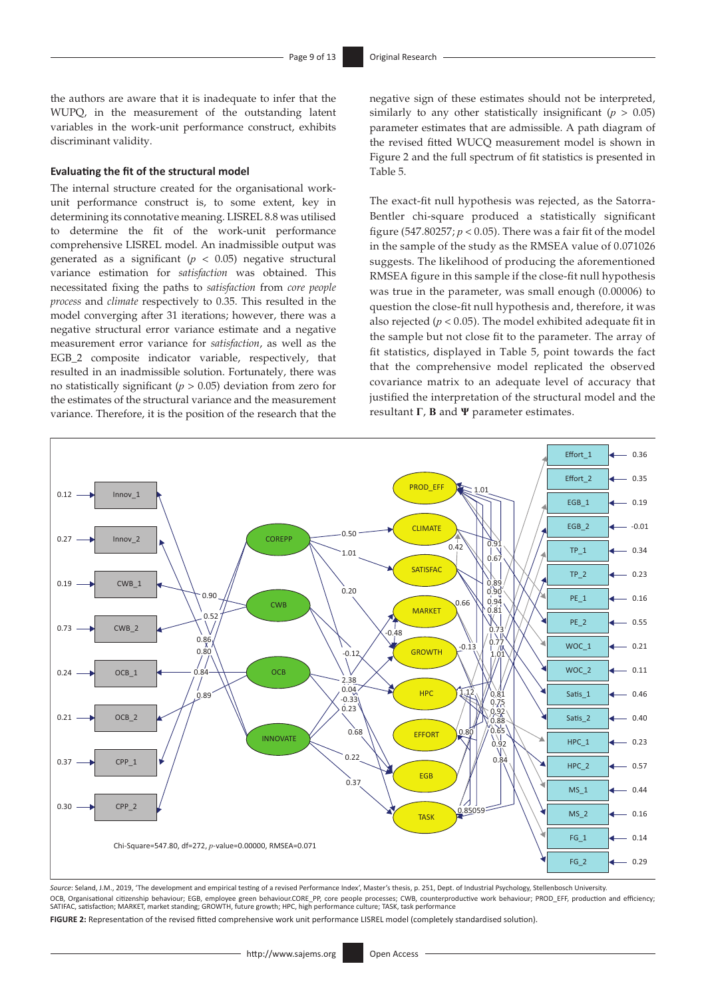the authors are aware that it is inadequate to infer that the WUPQ, in the measurement of the outstanding latent variables in the work-unit performance construct, exhibits discriminant validity.

#### **Evaluating the fit of the structural model**

The internal structure created for the organisational workunit performance construct is, to some extent, key in determining its connotative meaning. LISREL 8.8 was utilised to determine the fit of the work-unit performance comprehensive LISREL model. An inadmissible output was generated as a significant ( $p < 0.05$ ) negative structural variance estimation for *satisfaction* was obtained. This necessitated fixing the paths to *satisfaction* from *core people process* and *climate* respectively to 0.35. This resulted in the model converging after 31 iterations; however, there was a negative structural error variance estimate and a negative measurement error variance for *satisfaction*, as well as the EGB\_2 composite indicator variable, respectively, that resulted in an inadmissible solution. Fortunately, there was no statistically significant (*p* > 0.05) deviation from zero for the estimates of the structural variance and the measurement variance. Therefore, it is the position of the research that the

negative sign of these estimates should not be interpreted, similarly to any other statistically insignificant  $(p > 0.05)$ parameter estimates that are admissible. A path diagram of the revised fitted WUCQ measurement model is shown in Figure 2 and the full spectrum of fit statistics is presented in Table 5.

The exact-fit null hypothesis was rejected, as the Satorra-Bentler chi-square produced a statistically significant figure (547.80257;  $p < 0.05$ ). There was a fair fit of the model in the sample of the study as the RMSEA value of 0.071026 suggests. The likelihood of producing the aforementioned RMSEA figure in this sample if the close-fit null hypothesis was true in the parameter, was small enough (0.00006) to question the close-fit null hypothesis and, therefore, it was also rejected ( $p < 0.05$ ). The model exhibited adequate fit in the sample but not close fit to the parameter. The array of fit statistics, displayed in Table 5, point towards the fact that the comprehensive model replicated the observed covariance matrix to an adequate level of accuracy that justified the interpretation of the structural model and the resultant **Γ**, **B** and **Ψ** parameter estimates.



*Source*: Seland, J.M., 2019, 'The development and empirical testing of a revised Performance Index', Master's thesis, p. 251, Dept. of Industrial Psychology, Stellenbosch University. OCB, Organisational citizenship behaviour; EGB, employee green behaviour.CORE\_PP, core people processes; CWB, counterproductive work behaviour; PROD\_EFF, production and efficiency; SATIFAC, satisfaction; MARKET, market standing; GROWTH, future growth; HPC, high performance culture; TASK, task performance

**FIGURE 2:** Representation of the revised fitted comprehensive work unit performance LISREL model (completely standardised solution).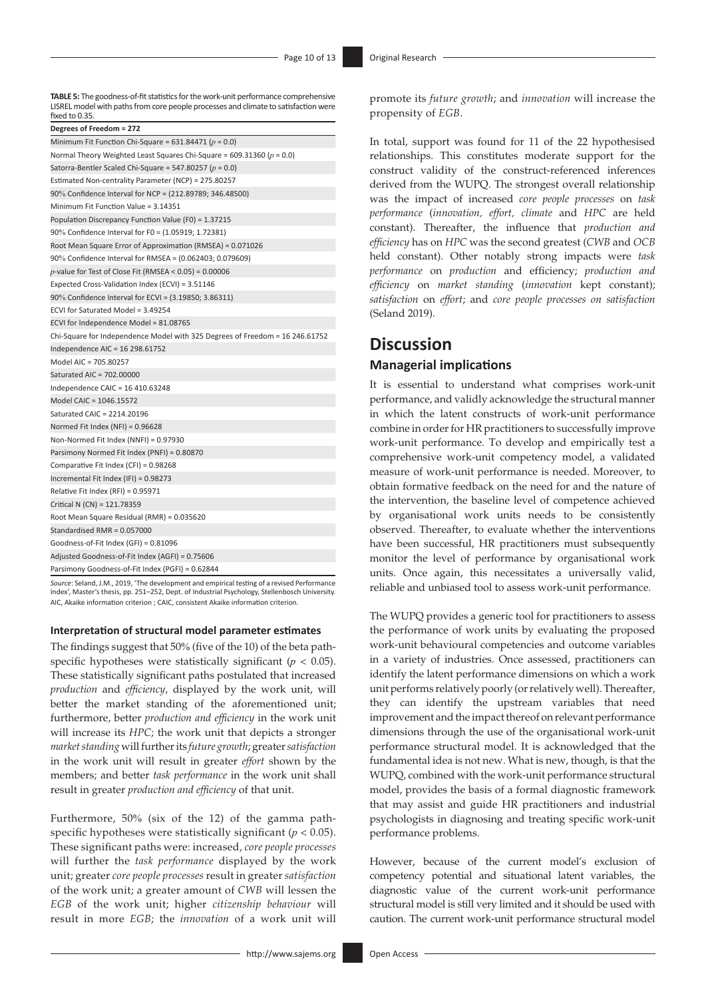**TABLE 5:** The goodness-of-fit statistics for the work-unit performance comprehensive LISREL model with paths from core people processes and climate to satisfaction were fixed to 0.35.

| Degrees of Freedom = 272                                                     |
|------------------------------------------------------------------------------|
| Minimum Fit Function Chi-Square = 631.84471 ( $p = 0.0$ )                    |
| Normal Theory Weighted Least Squares Chi-Square = 609.31360 ( $p = 0.0$ )    |
| Satorra-Bentler Scaled Chi-Square = 547.80257 ( $p = 0.0$ )                  |
| Estimated Non-centrality Parameter (NCP) = 275.80257                         |
| 90% Confidence Interval for NCP = (212.89789; 346.48500)                     |
| Minimum Fit Function Value = 3.14351                                         |
| Population Discrepancy Function Value (F0) = 1.37215                         |
| 90% Confidence Interval for F0 = (1.05919; 1.72381)                          |
| Root Mean Square Error of Approximation (RMSEA) = 0.071026                   |
| 90% Confidence Interval for RMSEA = (0.062403; 0.079609)                     |
| p-value for Test of Close Fit (RMSEA < $0.05$ ) = $0.00006$                  |
| Expected Cross-Validation Index (ECVI) = 3.51146                             |
| 90% Confidence Interval for ECVI = (3.19850; 3.86311)                        |
| ECVI for Saturated Model = 3.49254                                           |
| ECVI for Independence Model = 81.08765                                       |
| Chi-Square for Independence Model with 325 Degrees of Freedom = 16 246.61752 |
| Independence AIC = $16$ 298.61752                                            |
| Model AIC = 705.80257                                                        |
| Saturated AIC = 702.00000                                                    |
| Independence CAIC = 16 410.63248                                             |
| Model CAIC = 1046.15572                                                      |
| Saturated CAIC = 2214.20196                                                  |
| Normed Fit Index (NFI) = 0.96628                                             |
| Non-Normed Fit Index (NNFI) = 0.97930                                        |
| Parsimony Normed Fit Index (PNFI) = 0.80870                                  |
| Comparative Fit Index (CFI) = 0.98268                                        |
| Incremental Fit Index (IFI) = 0.98273                                        |
| Relative Fit Index (RFI) = 0.95971                                           |
| Critical N (CN) = 121.78359                                                  |
| Root Mean Square Residual (RMR) = 0.035620                                   |
| Standardised RMR = 0.057000                                                  |
| Goodness-of-Fit Index (GFI) = 0.81096                                        |
| Adjusted Goodness-of-Fit Index (AGFI) = 0.75606                              |
| Parsimony Goodness-of-Fit Index (PGFI) = 0.62844                             |

*Source*: Seland, J.M., 2019, 'The development and empirical testing of a revised Performance Index', Master's thesis, pp. 251–252, Dept. of Industrial Psychology, Stellenbosch University. AIC, Akaike information criterion ; CAIC, consistent Akaike information criterion.

#### **Interpretation of structural model parameter estimates**

The findings suggest that 50% (five of the 10) of the beta pathspecific hypotheses were statistically significant ( $p < 0.05$ ). These statistically significant paths postulated that increased *production* and *efficiency*, displayed by the work unit, will better the market standing of the aforementioned unit; furthermore, better *production and efficiency* in the work unit will increase its *HPC*; the work unit that depicts a stronger *market standing* will further its *future growth*; greater *satisfaction* in the work unit will result in greater *effort* shown by the members; and better *task performance* in the work unit shall result in greater *production and efficiency* of that unit.

Furthermore, 50% (six of the 12) of the gamma pathspecific hypotheses were statistically significant (*p* < 0.05). These significant paths were: increased, *core people processes* will further the *task performance* displayed by the work unit; greater *core people processes* result in greater *satisfaction* of the work unit; a greater amount of *CWB* will lessen the *EGB* of the work unit; higher *citizenship behaviour* will result in more *EGB*; the *innovation* of a work unit will

promote its *future growth*; and *innovation* will increase the propensity of *EGB*.

In total, support was found for 11 of the 22 hypothesised relationships. This constitutes moderate support for the construct validity of the construct-referenced inferences derived from the WUPQ. The strongest overall relationship was the impact of increased *core people processes* on *task performance* (*innovation, effort, climate* and *HPC* are held constant). Thereafter, the influence that *production and efficiency* has on *HPC* was the second greatest (*CWB* and *OCB* held constant). Other notably strong impacts were *task performance* on *production* and efficiency; *production and efficiency* on *market standing* (*innovation* kept constant); *satisfaction* on *effort*; and *core people processes on satisfaction* (Seland 2019).

## **Discussion**

### **Managerial implications**

It is essential to understand what comprises work-unit performance, and validly acknowledge the structural manner in which the latent constructs of work-unit performance combine in order for HR practitioners to successfully improve work-unit performance. To develop and empirically test a comprehensive work-unit competency model, a validated measure of work-unit performance is needed. Moreover, to obtain formative feedback on the need for and the nature of the intervention, the baseline level of competence achieved by organisational work units needs to be consistently observed. Thereafter, to evaluate whether the interventions have been successful, HR practitioners must subsequently monitor the level of performance by organisational work units. Once again, this necessitates a universally valid, reliable and unbiased tool to assess work-unit performance.

The WUPQ provides a generic tool for practitioners to assess the performance of work units by evaluating the proposed work-unit behavioural competencies and outcome variables in a variety of industries. Once assessed, practitioners can identify the latent performance dimensions on which a work unit performs relatively poorly (or relatively well). Thereafter, they can identify the upstream variables that need improvement and the impact thereof on relevant performance dimensions through the use of the organisational work-unit performance structural model. It is acknowledged that the fundamental idea is not new. What is new, though, is that the WUPQ, combined with the work-unit performance structural model, provides the basis of a formal diagnostic framework that may assist and guide HR practitioners and industrial psychologists in diagnosing and treating specific work-unit performance problems.

However, because of the current model's exclusion of competency potential and situational latent variables, the diagnostic value of the current work-unit performance structural model is still very limited and it should be used with caution. The current work-unit performance structural model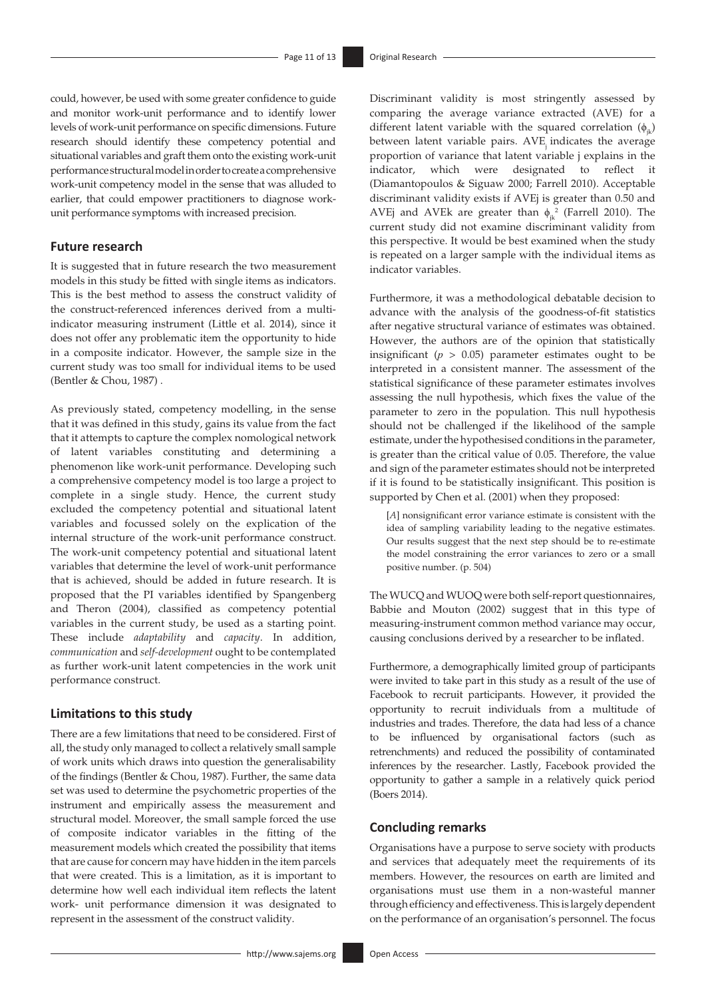could, however, be used with some greater confidence to guide and monitor work-unit performance and to identify lower levels of work-unit performance on specific dimensions. Future research should identify these competency potential and situational variables and graft them onto the existing work-unit performance structural model in order to create a comprehensive work-unit competency model in the sense that was alluded to earlier, that could empower practitioners to diagnose workunit performance symptoms with increased precision.

## **Future research**

It is suggested that in future research the two measurement models in this study be fitted with single items as indicators. This is the best method to assess the construct validity of the construct-referenced inferences derived from a multiindicator measuring instrument (Little et al. 2014), since it does not offer any problematic item the opportunity to hide in a composite indicator. However, the sample size in the current study was too small for individual items to be used (Bentler & Chou, 1987) .

As previously stated, competency modelling, in the sense that it was defined in this study, gains its value from the fact that it attempts to capture the complex nomological network of latent variables constituting and determining a phenomenon like work-unit performance. Developing such a comprehensive competency model is too large a project to complete in a single study. Hence, the current study excluded the competency potential and situational latent variables and focussed solely on the explication of the internal structure of the work-unit performance construct. The work-unit competency potential and situational latent variables that determine the level of work-unit performance that is achieved, should be added in future research. It is proposed that the PI variables identified by Spangenberg and Theron (2004), classified as competency potential variables in the current study, be used as a starting point. These include *adaptability* and *capacity*. In addition, *communication* and *self-development* ought to be contemplated as further work-unit latent competencies in the work unit performance construct.

### **Limitations to this study**

There are a few limitations that need to be considered. First of all, the study only managed to collect a relatively small sample of work units which draws into question the generalisability of the findings (Bentler & Chou, 1987). Further, the same data set was used to determine the psychometric properties of the instrument and empirically assess the measurement and structural model. Moreover, the small sample forced the use of composite indicator variables in the fitting of the measurement models which created the possibility that items that are cause for concern may have hidden in the item parcels that were created. This is a limitation, as it is important to determine how well each individual item reflects the latent work- unit performance dimension it was designated to represent in the assessment of the construct validity.

Discriminant validity is most stringently assessed by comparing the average variance extracted (AVE) for a different latent variable with the squared correlation  $(\phi_{i,k})$ between latent variable pairs. AVE indicates the average proportion of variance that latent variable j explains in the indicator, which were designated to reflect it (Diamantopoulos & Siguaw 2000; Farrell 2010). Acceptable discriminant validity exists if AVEj is greater than 0.50 and AVEj and AVEk are greater than  $\phi_{jk}^2$  (Farrell 2010). The current study did not examine discriminant validity from this perspective. It would be best examined when the study is repeated on a larger sample with the individual items as indicator variables.

Furthermore, it was a methodological debatable decision to advance with the analysis of the goodness-of-fit statistics after negative structural variance of estimates was obtained. However, the authors are of the opinion that statistically insignificant  $(p > 0.05)$  parameter estimates ought to be interpreted in a consistent manner. The assessment of the statistical significance of these parameter estimates involves assessing the null hypothesis, which fixes the value of the parameter to zero in the population. This null hypothesis should not be challenged if the likelihood of the sample estimate, under the hypothesised conditions in the parameter, is greater than the critical value of 0.05. Therefore, the value and sign of the parameter estimates should not be interpreted if it is found to be statistically insignificant. This position is supported by Chen et al. (2001) when they proposed:

[*A*] nonsignificant error variance estimate is consistent with the idea of sampling variability leading to the negative estimates. Our results suggest that the next step should be to re-estimate the model constraining the error variances to zero or a small positive number. (p. 504)

The WUCQ and WUOQ were both self-report questionnaires, Babbie and Mouton (2002) suggest that in this type of measuring-instrument common method variance may occur, causing conclusions derived by a researcher to be inflated.

Furthermore, a demographically limited group of participants were invited to take part in this study as a result of the use of Facebook to recruit participants. However, it provided the opportunity to recruit individuals from a multitude of industries and trades. Therefore, the data had less of a chance to be influenced by organisational factors (such as retrenchments) and reduced the possibility of contaminated inferences by the researcher. Lastly, Facebook provided the opportunity to gather a sample in a relatively quick period (Boers 2014).

## **Concluding remarks**

Organisations have a purpose to serve society with products and services that adequately meet the requirements of its members. However, the resources on earth are limited and organisations must use them in a non-wasteful manner through efficiency and effectiveness. This is largely dependent on the performance of an organisation's personnel. The focus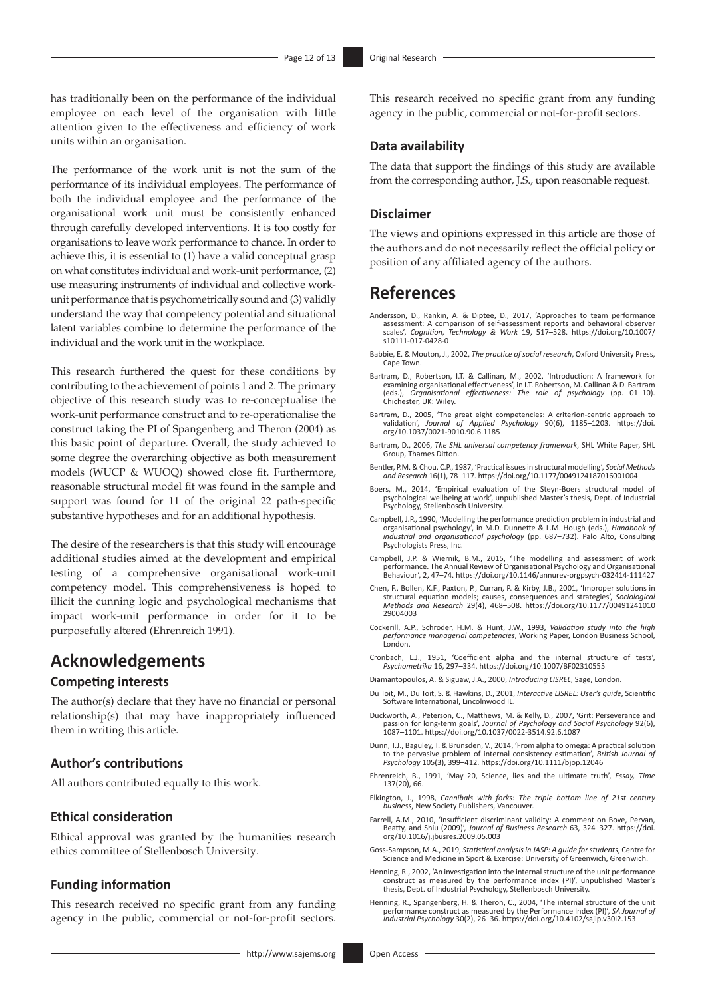has traditionally been on the performance of the individual employee on each level of the organisation with little attention given to the effectiveness and efficiency of work units within an organisation.

The performance of the work unit is not the sum of the performance of its individual employees. The performance of both the individual employee and the performance of the organisational work unit must be consistently enhanced through carefully developed interventions. It is too costly for organisations to leave work performance to chance. In order to achieve this, it is essential to (1) have a valid conceptual grasp on what constitutes individual and work-unit performance, (2) use measuring instruments of individual and collective workunit performance that is psychometrically sound and (3) validly understand the way that competency potential and situational latent variables combine to determine the performance of the individual and the work unit in the workplace.

This research furthered the quest for these conditions by contributing to the achievement of points 1 and 2. The primary objective of this research study was to re-conceptualise the work-unit performance construct and to re-operationalise the construct taking the PI of Spangenberg and Theron (2004) as this basic point of departure. Overall, the study achieved to some degree the overarching objective as both measurement models (WUCP & WUOQ) showed close fit. Furthermore, reasonable structural model fit was found in the sample and support was found for 11 of the original 22 path-specific substantive hypotheses and for an additional hypothesis.

The desire of the researchers is that this study will encourage additional studies aimed at the development and empirical testing of a comprehensive organisational work-unit competency model. This comprehensiveness is hoped to illicit the cunning logic and psychological mechanisms that impact work-unit performance in order for it to be purposefully altered (Ehrenreich 1991).

# **Acknowledgements**

## **Competing interests**

The author(s) declare that they have no financial or personal relationship(s) that may have inappropriately influenced them in writing this article.

## **Author's contributions**

All authors contributed equally to this work.

#### **Ethical consideration**

Ethical approval was granted by the humanities research ethics committee of Stellenbosch University.

#### **Funding information**

This research received no specific grant from any funding agency in the public, commercial or not-for-profit sectors.

This research received no specific grant from any funding agency in the public, commercial or not-for-profit sectors.

### **Data availability**

The data that support the findings of this study are available from the corresponding author, J.S., upon reasonable request.

#### **Disclaimer**

The views and opinions expressed in this article are those of the authors and do not necessarily reflect the official policy or position of any affiliated agency of the authors.

## **References**

- Andersson, D., Rankin, A. & Diptee, D., 2017, 'Approaches to team performance assessment: A comparison of self-assessment reports and behavioral observer scales', *Cognition, Technology & Work* 19, 517–528. [https://doi.org/10.1007/](https://doi.org/10.1007/s10111-017-0428-0) [s10111-017-0428-0](https://doi.org/10.1007/s10111-017-0428-0)
- Babbie, E. & Mouton, J., 2002, *The practice of social research*, Oxford University Press, Cape Town.
- Bartram, D., Robertson, I.T. & Callinan, M., 2002, 'Introduction: A framework for examining organisational effectiveness', in I.T. Robertson, M. Callinan & D. Bartram (eds.), *Organisational effectiveness: The role of psychology* (pp. 01–10). Chichester, UK: Wiley.
- Bartram, D., 2005, 'The great eight competencies: A criterion-centric approach to validation', *Journal of Applied Psychology* 90(6), 1185–1203. [https://doi.](https://doi.org/10.1037/0021-9010.90.6.1185) [org/10.1037/0021-9010.90.6.1185](https://doi.org/10.1037/0021-9010.90.6.1185)
- Bartram, D., 2006, *The SHL universal competency framework*, SHL White Paper, SHL Group, Thames Ditton.
- Bentler, P.M. & Chou, C.P., 1987, 'Practical issues in structural modelling', *Social Methods and Research* 16(1), 78–117. [https://doi.org/10.1177/0049124187016001004](https://doi.org/10.1177/0049​124187​016001004)
- Boers, M., 2014, 'Empirical evaluation of the Steyn-Boers structural model of psychological wellbeing at work', unpublished Master's thesis, Dept. of Industrial Psychology, Stellenbosch University.
- Campbell, J.P., 1990, 'Modelling the performance prediction problem in industrial and organisational psychology', in M.D. Dunnette & L.M. Hough (eds.), *Handbook of industrial and organisational psychology* (pp. 687–732). Palo Alto, Consulting Psychologists Press, Inc.
- Campbell, J.P. & Wiernik, B.M., 2015, 'The modelling and assessment of work performance. The Annual Review of Organisational Psychology and Organisational Behaviour', 2, 47–74. <https://doi.org/10.1146/annurev-orgpsych-032414-111427>
- Chen, F., Bollen, K.F., Paxton, P., Curran, P. & Kirby, J.B., 2001, 'Improper solutions in structural equation models; causes, consequences and strategies', *Sociological Methods and Research* 29(4), 468–508. [https://doi.org/10.1177/00491241010](https://doi.org/10.1177/004912​41010​29004003) [29004003](https://doi.org/10.1177/004912​41010​29004003)
- Cockerill, A.P., Schroder, H.M. & Hunt, J.W., 1993, *Validation study into the high performance managerial competencies*, Working Paper, London Business School, London.
- Cronbach, L.J., 1951, 'Coefficient alpha and the internal structure of tests', *Psychometrika* 16, 297–334.<https://doi.org/10.1007/BF02310555>
- Diamantopoulos, A. & Siguaw, J.A., 2000, *Introducing LISREL*, Sage, London.
- Du Toit, M., Du Toit, S. & Hawkins, D., 2001, *Interactive LISREL: User's guide*, Scientific Software International, Lincolnwood IL.
- Duckworth, A., Peterson, C., Matthews, M. & Kelly, D., 2007, 'Grit: Perseverance and passion for long-term goals', *Journal of Psychology and Social Psychology* 92(6), 1087–1101.<https://doi.org/10.1037/0022-3514.92.6.1087>
- Dunn, T.J., Baguley, T. & Brunsden, V., 2014, 'From alpha to omega: A practical solution to the pervasive problem of internal consistency estimation', *British Journal of Psychology* 105(3), 399–412.<https://doi.org/10.1111/bjop.12046>
- Ehrenreich, B., 1991, 'May 20, Science, lies and the ultimate truth', *Essay, Time*  137(20), 66.
- Elkington, J., 1998, *Cannibals with forks: The triple bottom line of 21st century business*, New Society Publishers, Vancouver.
- Farrell, A.M., 2010, 'Insufficient discriminant validity: A comment on Bove, Pervan, Beatty, and Shiu (2009)', *Journal of Business Research* 63, 324–327. [https://doi.](https://doi.org/10.1016/j.jbusres.2009.05.003) [org/10.1016/j.jbusres.2009.05.003](https://doi.org/10.1016/j.jbusres.2009.05.003)
- Goss-Sampson, M.A., 2019, *Statistical analysis in JASP: A guide for students*, Centre for Science and Medicine in Sport & Exercise: University of Greenwich, Greenwich.
- Henning, R., 2002, 'An investigation into the internal structure of the unit performance construct as measured by the performance index (PI)', unpublished Master's thesis, Dept. of Industrial Psychology, Stellenbosch University.
- Henning, R., Spangenberg, H. & Theron, C., 2004, 'The internal structure of the unit performance construct as measured by the Performance Index (PI)', *SA Journal of Industrial Psychology* 30(2), 26–36. <https://doi.org/10.4102/sajip.v30i2.153>